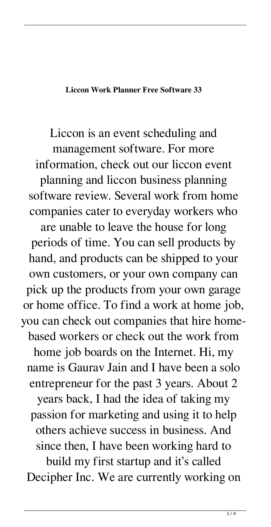**Liccon Work Planner Free Software 33**

Liccon is an event scheduling and management software. For more information, check out our liccon event planning and liccon business planning software review. Several work from home companies cater to everyday workers who are unable to leave the house for long periods of time. You can sell products by hand, and products can be shipped to your own customers, or your own company can pick up the products from your own garage or home office. To find a work at home job, you can check out companies that hire homebased workers or check out the work from home job boards on the Internet. Hi, my name is Gaurav Jain and I have been a solo entrepreneur for the past 3 years. About 2 years back, I had the idea of taking my passion for marketing and using it to help others achieve success in business. And since then, I have been working hard to build my first startup and it's called Decipher Inc. We are currently working on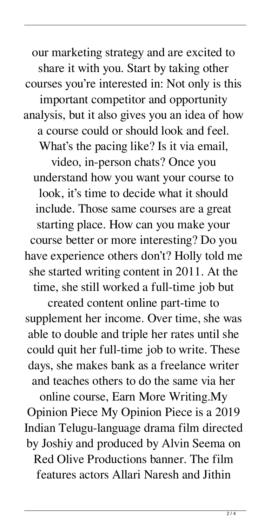our marketing strategy and are excited to share it with you. Start by taking other courses you're interested in: Not only is this important competitor and opportunity analysis, but it also gives you an idea of how a course could or should look and feel. What's the pacing like? Is it via email, video, in-person chats? Once you understand how you want your course to look, it's time to decide what it should include. Those same courses are a great starting place. How can you make your course better or more interesting? Do you have experience others don't? Holly told me she started writing content in 2011. At the time, she still worked a full-time job but created content online part-time to

supplement her income. Over time, she was able to double and triple her rates until she could quit her full-time job to write. These days, she makes bank as a freelance writer and teaches others to do the same via her

online course, Earn More Writing.My Opinion Piece My Opinion Piece is a 2019 Indian Telugu-language drama film directed by Joshiy and produced by Alvin Seema on Red Olive Productions banner. The film features actors Allari Naresh and Jithin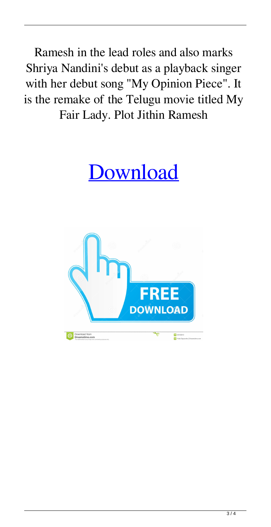Ramesh in the lead roles and also marks Shriya Nandini's debut as a playback singer with her debut song "My Opinion Piece". It is the remake of the Telugu movie titled My Fair Lady. Plot Jithin Ramesh

## **[Download](http://evacdir.com/grillmasters.etta.bGljY29uIHdvcmsgcGxhbm5lciBmcmVlIHNvZnR3YXJlIDMzbGl/geniuses/inhabits.unknowledgeable?christine=ZG93bmxvYWR8SXoyTVhacE5YeDhNVFkxTWpRMk16QTFNSHg4TWpVM05IeDhLRTBwSUhKbFlXUXRZbXh2WnlCYlJtRnpkQ0JIUlU1ZA)**